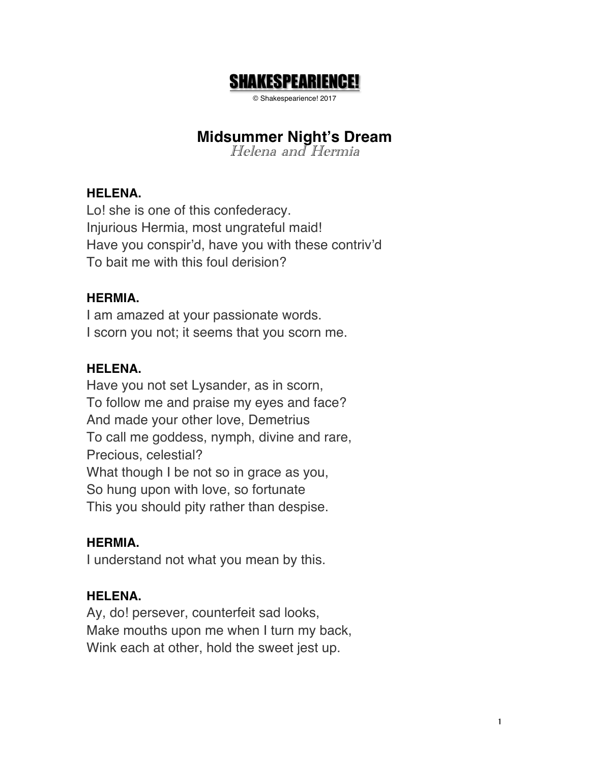# SHAKESPEARIENCE!

© Shakespearience! 2017

# **Midsummer Night's Dream**

Helena and Hermia

#### **HELENA.**

Lo! she is one of this confederacy. Injurious Hermia, most ungrateful maid! Have you conspir'd, have you with these contriv'd To bait me with this foul derision?

## **HERMIA.**

I am amazed at your passionate words. I scorn you not; it seems that you scorn me.

#### **HELENA.**

Have you not set Lysander, as in scorn, To follow me and praise my eyes and face? And made your other love, Demetrius To call me goddess, nymph, divine and rare, Precious, celestial? What though I be not so in grace as you, So hung upon with love, so fortunate This you should pity rather than despise.

## **HERMIA.**

I understand not what you mean by this.

## **HELENA.**

Ay, do! persever, counterfeit sad looks, Make mouths upon me when I turn my back, Wink each at other, hold the sweet jest up.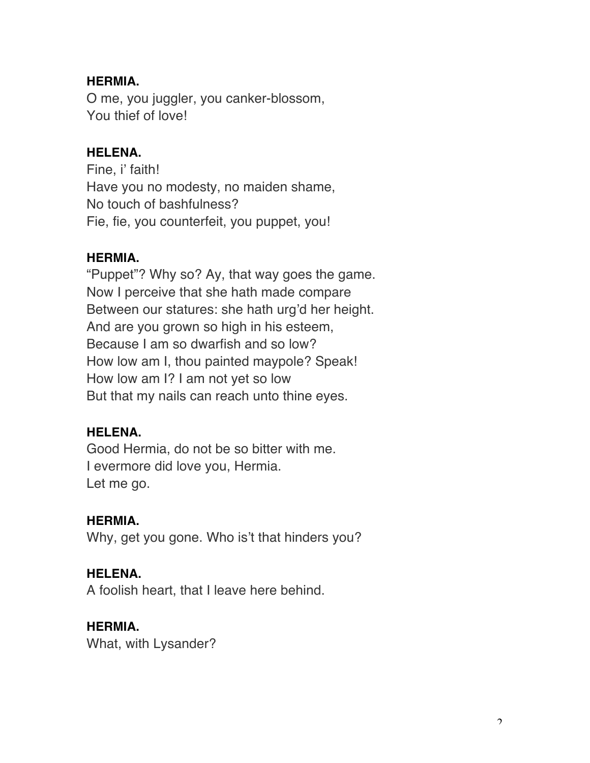### **HERMIA.**

O me, you juggler, you canker-blossom, You thief of love!

#### **HELENA.**

Fine, i' faith! Have you no modesty, no maiden shame, No touch of bashfulness? Fie, fie, you counterfeit, you puppet, you!

#### **HERMIA.**

"Puppet"? Why so? Ay, that way goes the game. Now I perceive that she hath made compare Between our statures: she hath urg'd her height. And are you grown so high in his esteem, Because I am so dwarfish and so low? How low am I, thou painted maypole? Speak! How low am I? I am not yet so low But that my nails can reach unto thine eyes.

#### **HELENA.**

Good Hermia, do not be so bitter with me. I evermore did love you, Hermia. Let me go.

#### **HERMIA.**

Why, get you gone. Who is't that hinders you?

#### **HELENA.**

A foolish heart, that I leave here behind.

#### **HERMIA.**

What, with Lysander?